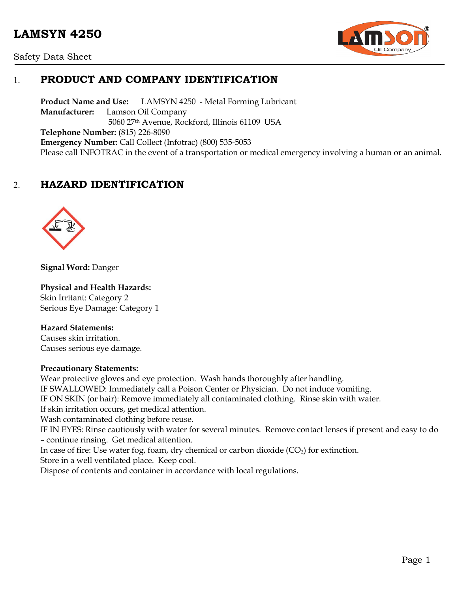# **LAMSYN 4250**





# 1. **PRODUCT AND COMPANY IDENTIFICATION**

**Product Name and Use:** LAMSYN 4250 - Metal Forming Lubricant **Manufacturer:** Lamson Oil Company 5060 27th Avenue, Rockford, Illinois 61109 USA **Telephone Number:** (815) 226-8090 **Emergency Number:** Call Collect (Infotrac) (800) 535-5053 Please call INFOTRAC in the event of a transportation or medical emergency involving a human or an animal.

# 2. **HAZARD IDENTIFICATION**



**Signal Word:** Danger

#### **Physical and Health Hazards:**

Skin Irritant: Category 2 Serious Eye Damage: Category 1

#### **Hazard Statements:**

Causes skin irritation. Causes serious eye damage.

#### **Precautionary Statements:**

Wear protective gloves and eye protection. Wash hands thoroughly after handling. IF SWALLOWED: Immediately call a Poison Center or Physician. Do not induce vomiting. IF ON SKIN (or hair): Remove immediately all contaminated clothing. Rinse skin with water. If skin irritation occurs, get medical attention. Wash contaminated clothing before reuse. IF IN EYES: Rinse cautiously with water for several minutes. Remove contact lenses if present and easy to do – continue rinsing. Get medical attention. In case of fire: Use water fog, foam, dry chemical or carbon dioxide  $(CO<sub>2</sub>)$  for extinction. Store in a well ventilated place. Keep cool. Dispose of contents and container in accordance with local regulations.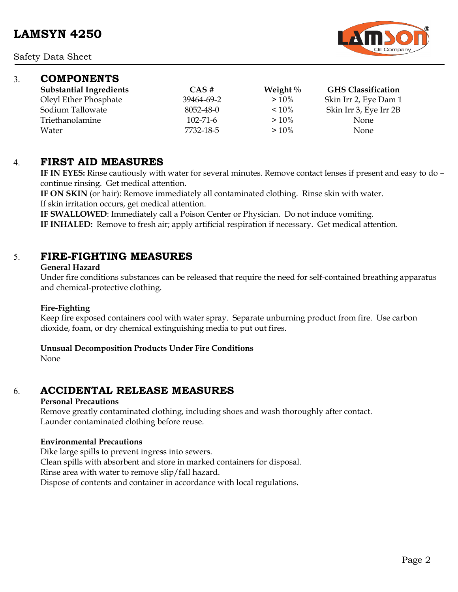

## 3. **COMPONENTS**

| <b>Substantial Ingredients</b> | CAS#           | Weight $\%$ | <b>GHS Classification</b> |
|--------------------------------|----------------|-------------|---------------------------|
| Oleyl Ether Phosphate          | 39464-69-2     | $>10\%$     | Skin Irr 2, Eye Dam 1     |
| Sodium Tallowate               | 8052-48-0      | $< 10\%$    | Skin Irr 3, Eye Irr 2B    |
| Triethanolamine                | $102 - 71 - 6$ | $>10\%$     | <b>None</b>               |
| Water                          | 7732-18-5      | $>10\%$     | <b>None</b>               |

## 4. **FIRST AID MEASURES**

**IF IN EYES:** Rinse cautiously with water for several minutes. Remove contact lenses if present and easy to do – continue rinsing. Get medical attention.

**IF ON SKIN** (or hair): Remove immediately all contaminated clothing. Rinse skin with water. If skin irritation occurs, get medical attention.

**IF SWALLOWED**: Immediately call a Poison Center or Physician. Do not induce vomiting. **IF INHALED:** Remove to fresh air; apply artificial respiration if necessary. Get medical attention.

## 5. **FIRE-FIGHTING MEASURES**

#### **General Hazard**

Under fire conditions substances can be released that require the need for self-contained breathing apparatus and chemical-protective clothing.

#### **Fire-Fighting**

Keep fire exposed containers cool with water spray. Separate unburning product from fire. Use carbon dioxide, foam, or dry chemical extinguishing media to put out fires.

#### **Unusual Decomposition Products Under Fire Conditions**

None

# 6. **ACCIDENTAL RELEASE MEASURES**

#### **Personal Precautions**

Remove greatly contaminated clothing, including shoes and wash thoroughly after contact. Launder contaminated clothing before reuse.

#### **Environmental Precautions**

Dike large spills to prevent ingress into sewers. Clean spills with absorbent and store in marked containers for disposal. Rinse area with water to remove slip/fall hazard. Dispose of contents and container in accordance with local regulations.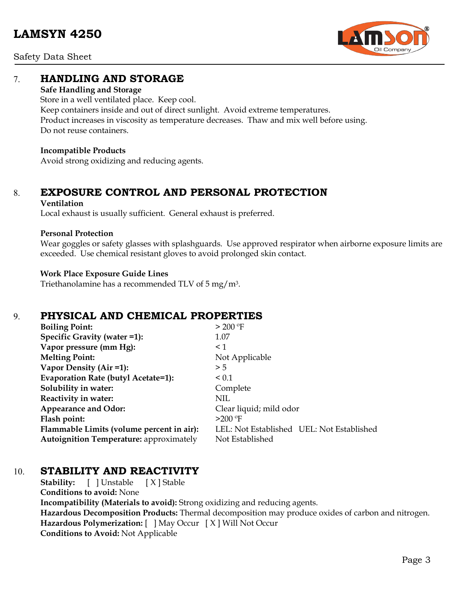Safety Data Sheet



# 7. **HANDLING AND STORAGE**

## **Safe Handling and Storage**

Store in a well ventilated place. Keep cool. Keep containers inside and out of direct sunlight. Avoid extreme temperatures. Product increases in viscosity as temperature decreases. Thaw and mix well before using. Do not reuse containers.

## **Incompatible Products**

Avoid strong oxidizing and reducing agents.

# 8. **EXPOSURE CONTROL AND PERSONAL PROTECTION**

#### **Ventilation**

Local exhaust is usually sufficient. General exhaust is preferred.

## **Personal Protection**

Wear goggles or safety glasses with splashguards. Use approved respirator when airborne exposure limits are exceeded. Use chemical resistant gloves to avoid prolonged skin contact.

## **Work Place Exposure Guide Lines**

Triethanolamine has a recommended TLV of 5 mg/m3.

# 9. **PHYSICAL AND CHEMICAL PROPERTIES**

| > 200 °F                                  |
|-------------------------------------------|
| 1.07                                      |
| $\leq$ 1                                  |
| Not Applicable                            |
| > 5                                       |
| ${}_{0.1}$                                |
| Complete                                  |
| NIL                                       |
| Clear liquid; mild odor                   |
| $>200$ °F                                 |
| LEL: Not Established UEL: Not Established |
| Not Established                           |
|                                           |

# 10. **STABILITY AND REACTIVITY**

**Stability:** [ ] Unstable [ X ] Stable **Conditions to avoid:** None **Incompatibility (Materials to avoid):** Strong oxidizing and reducing agents. **Hazardous Decomposition Products:** Thermal decomposition may produce oxides of carbon and nitrogen. **Hazardous Polymerization:** [ ] May Occur [ X ] Will Not Occur **Conditions to Avoid:** Not Applicable